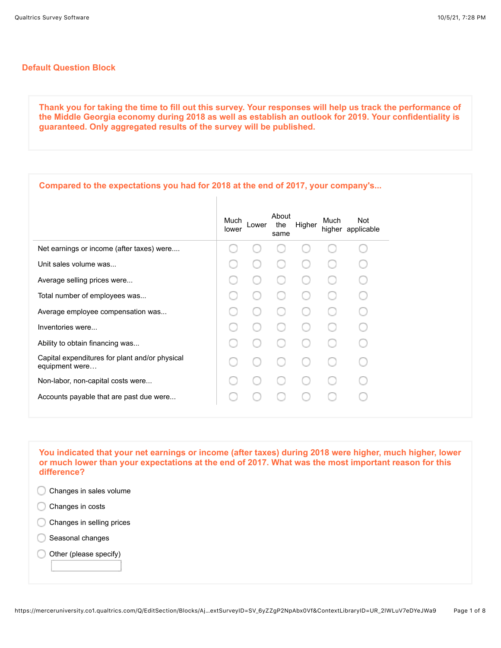## **Default Question Block**

**Thank you for taking the time to fill out this survey. Your responses will help us track the performance of the Middle Georgia economy during 2018 as well as establish an outlook for 2019. Your confidentiality is guaranteed. Only aggregated results of the survey will be published.**

| Compared to the expectations you had for 2018 at the end of 2017, your company's                    |  |  |
|-----------------------------------------------------------------------------------------------------|--|--|
| About<br><b>Not</b><br>Much<br>Much<br>Higher<br>the<br>Lower<br>higher applicable<br>lower<br>same |  |  |
| Net earnings or income (after taxes) were                                                           |  |  |
| Unit sales volume was                                                                               |  |  |
| Average selling prices were                                                                         |  |  |
| Total number of employees was                                                                       |  |  |
| Average employee compensation was                                                                   |  |  |
| Inventories were                                                                                    |  |  |
| Ability to obtain financing was                                                                     |  |  |
| Capital expenditures for plant and/or physical<br>equipment were                                    |  |  |
| Non-labor, non-capital costs were                                                                   |  |  |
| Accounts payable that are past due were                                                             |  |  |

**You indicated that your net earnings or income (after taxes) during 2018 were higher, much higher, lower or much lower than your expectations at the end of 2017. What was the most important reason for this difference?** 

- Changes in sales volume
- Changes in costs ◯
- C Changes in selling prices
- Seasonal changes
- Other (please specify)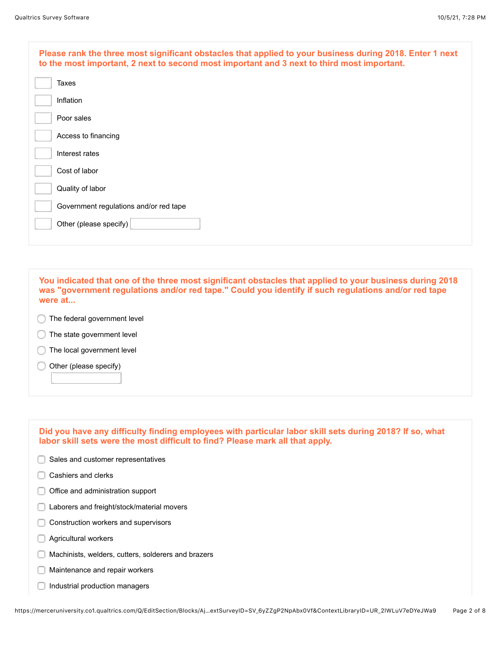| Please rank the three most significant obstacles that applied to your business during 2018. Enter 1 next<br>to the most important, 2 next to second most important and 3 next to third most important. |
|--------------------------------------------------------------------------------------------------------------------------------------------------------------------------------------------------------|
| Taxes                                                                                                                                                                                                  |
| Inflation                                                                                                                                                                                              |
| Poor sales                                                                                                                                                                                             |
| Access to financing                                                                                                                                                                                    |
| Interest rates                                                                                                                                                                                         |
| Cost of labor                                                                                                                                                                                          |
| Quality of labor                                                                                                                                                                                       |
| Government regulations and/or red tape                                                                                                                                                                 |
| Other (please specify)                                                                                                                                                                                 |
|                                                                                                                                                                                                        |

**You indicated that one of the three most significant obstacles that applied to your business during 2018 was "government regulations and/or red tape." Could you identify if such regulations and/or red tape were at...**

- **The federal government level**
- The state government level C
- The local government level
- Other (please specify) ∩

| Did you have any difficulty finding employees with particular labor skill sets during 2018? If so, what<br>labor skill sets were the most difficult to find? Please mark all that apply. |
|------------------------------------------------------------------------------------------------------------------------------------------------------------------------------------------|
| Sales and customer representatives                                                                                                                                                       |
| Cashiers and clerks                                                                                                                                                                      |
| Office and administration support                                                                                                                                                        |
| Laborers and freight/stock/material movers                                                                                                                                               |
| Construction workers and supervisors                                                                                                                                                     |
| Agricultural workers                                                                                                                                                                     |
| Machinists, welders, cutters, solderers and brazers                                                                                                                                      |
| Maintenance and repair workers                                                                                                                                                           |
| Industrial production managers                                                                                                                                                           |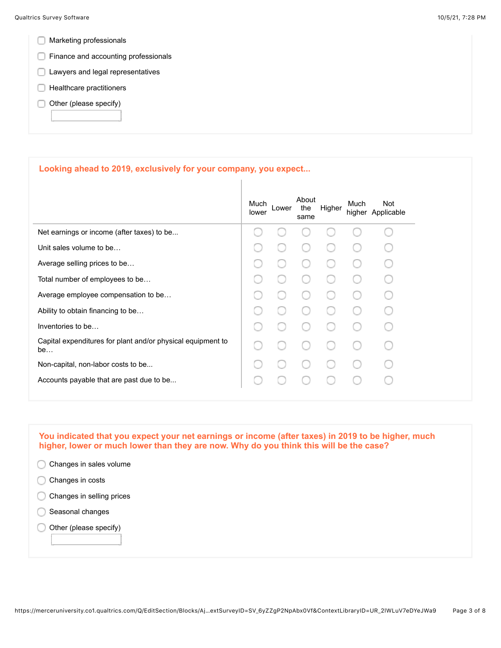- **Marketing professionals**
- **Finance and accounting professionals**
- **Lawyers and legal representatives**
- $\Box$  Healthcare practitioners
- $\Box$  Other (please specify)

## **Looking ahead to 2019, exclusively for your company, you expect...**

|                                                                   | Much<br>lower | _ower | About<br>the<br>same | Higher | Much | <b>Not</b><br>higher Applicable |
|-------------------------------------------------------------------|---------------|-------|----------------------|--------|------|---------------------------------|
| Net earnings or income (after taxes) to be                        |               |       |                      |        |      |                                 |
| Unit sales volume to be                                           |               |       |                      |        |      |                                 |
| Average selling prices to be                                      |               |       |                      |        |      |                                 |
| Total number of employees to be                                   |               |       |                      |        |      |                                 |
| Average employee compensation to be                               |               |       |                      |        |      |                                 |
| Ability to obtain financing to be                                 |               |       |                      |        |      |                                 |
| Inventories to be                                                 |               |       |                      |        |      |                                 |
| Capital expenditures for plant and/or physical equipment to<br>be |               |       |                      |        |      |                                 |
| Non-capital, non-labor costs to be                                |               |       |                      |        |      |                                 |
| Accounts payable that are past due to be                          |               |       |                      |        |      |                                 |
|                                                                   |               |       |                      |        |      |                                 |

**You indicated that you expect your net earnings or income (after taxes) in 2019 to be higher, much higher, lower or much lower than they are now. Why do you think this will be the case?** 

| Changes in sales volume   |  |
|---------------------------|--|
| Changes in costs          |  |
| Changes in selling prices |  |
| Seasonal changes          |  |
| Other (please specify)    |  |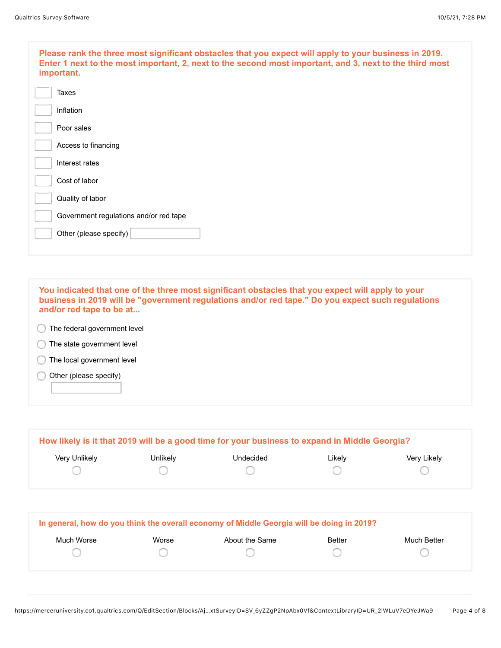| Please rank the three most significant obstacles that you expect will apply to your business in 2019.<br>Enter 1 next to the most important, 2, next to the second most important, and 3, next to the third most<br>important. |
|--------------------------------------------------------------------------------------------------------------------------------------------------------------------------------------------------------------------------------|
| <b>Taxes</b>                                                                                                                                                                                                                   |
| Inflation                                                                                                                                                                                                                      |
| Poor sales                                                                                                                                                                                                                     |
| Access to financing                                                                                                                                                                                                            |
| Interest rates                                                                                                                                                                                                                 |
| Cost of labor                                                                                                                                                                                                                  |
| Quality of labor                                                                                                                                                                                                               |
| Government regulations and/or red tape                                                                                                                                                                                         |
| Other (please specify)                                                                                                                                                                                                         |
|                                                                                                                                                                                                                                |

**You indicated that one of the three most significant obstacles that you expect will apply to your business in 2019 will be "government regulations and/or red tape." Do you expect such regulations and/or red tape to be at...** The federal government level **The state government level** The local government level Other (please specify) ∩

|               |                 | How likely is it that 2019 will be a good time for your business to expand in Middle Georgia? |        |             |
|---------------|-----------------|-----------------------------------------------------------------------------------------------|--------|-------------|
| Very Unlikely | <b>Jnlikely</b> | Undecided                                                                                     | Likely | Very Likely |
|               |                 |                                                                                               |        |             |
|               |                 |                                                                                               |        |             |

|            |       | In general, how do you think the overall economy of Middle Georgia will be doing in 2019? |               |             |
|------------|-------|-------------------------------------------------------------------------------------------|---------------|-------------|
| Much Worse | Worse | About the Same                                                                            | <b>Better</b> | Much Better |
|            |       |                                                                                           |               |             |
|            |       |                                                                                           |               |             |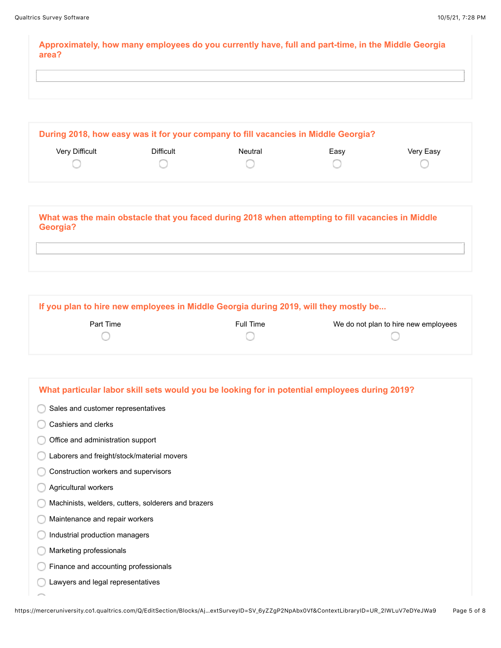**Approximately, how many employees do you currently have, full and part-time, in the Middle Georgia area?**

| Difficult | Neutral | Easy | Very Easy |
|-----------|---------|------|-----------|
|           |         |      |           |
|           |         |      |           |

**What was the main obstacle that you faced during 2018 when attempting to fill vacancies in Middle Georgia?**

**If you plan to hire new employees in Middle Georgia during 2019, will they mostly be...**

| Part Time | Full Time | We do not plan to hire new employees |
|-----------|-----------|--------------------------------------|
|           |           |                                      |

| What particular labor skill sets would you be looking for in potential employees during 2019? |
|-----------------------------------------------------------------------------------------------|
| Sales and customer representatives                                                            |
| Cashiers and clerks                                                                           |
| Office and administration support                                                             |
| Laborers and freight/stock/material movers                                                    |
| Construction workers and supervisors                                                          |
| Agricultural workers                                                                          |
| Machinists, welders, cutters, solderers and brazers                                           |
| Maintenance and repair workers                                                                |
| Industrial production managers                                                                |
| Marketing professionals                                                                       |
| Finance and accounting professionals                                                          |
| Lawyers and legal representatives                                                             |
|                                                                                               |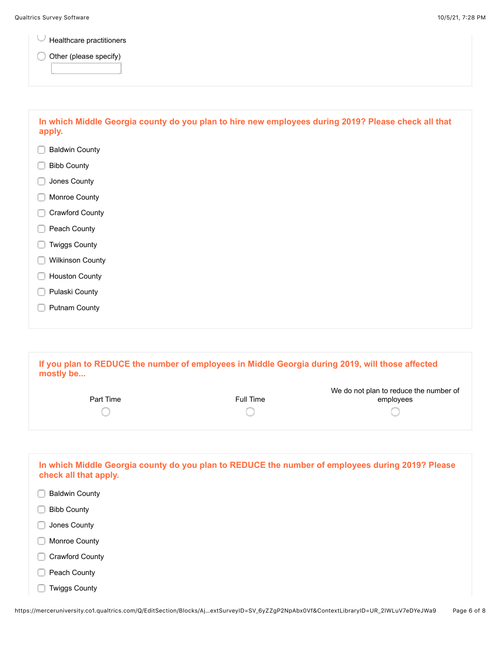U Healthcare practitioners

O Other (please specify)

| In which Middle Georgia county do you plan to hire new employees during 2019? Please check all that<br>apply. |
|---------------------------------------------------------------------------------------------------------------|
| <b>Baldwin County</b>                                                                                         |
| <b>Bibb County</b>                                                                                            |
| Jones County                                                                                                  |
| Monroe County                                                                                                 |
| Crawford County                                                                                               |
| Peach County                                                                                                  |
| <b>Twiggs County</b>                                                                                          |
| <b>Wilkinson County</b>                                                                                       |
| <b>Houston County</b>                                                                                         |
| Pulaski County                                                                                                |
| <b>Putnam County</b>                                                                                          |
|                                                                                                               |
|                                                                                                               |

**If you plan to REDUCE the number of employees in Middle Georgia during 2019, will those affected mostly be...**

| Part Time | Full Time | We do not plan to reduce the number of<br>employees |
|-----------|-----------|-----------------------------------------------------|
|           |           |                                                     |

| In which Middle Georgia county do you plan to REDUCE the number of employees during 2019? Please<br>check all that apply. |  |
|---------------------------------------------------------------------------------------------------------------------------|--|
| <b>Baldwin County</b>                                                                                                     |  |
| <b>Bibb County</b>                                                                                                        |  |
| Jones County                                                                                                              |  |
| Monroe County                                                                                                             |  |
| Crawford County                                                                                                           |  |
| Peach County                                                                                                              |  |
| <b>Twiggs County</b>                                                                                                      |  |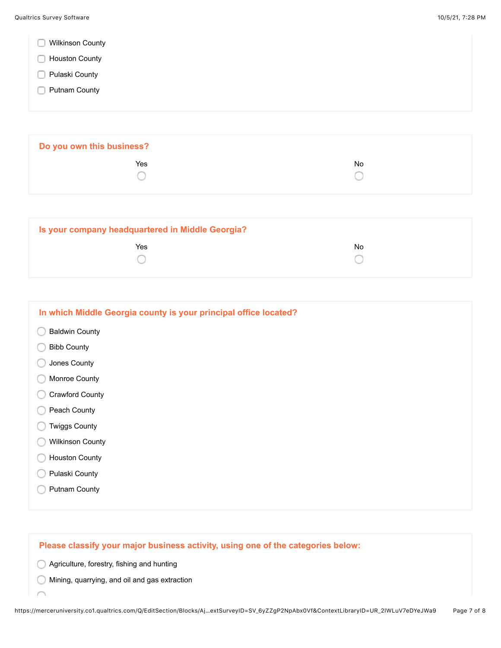|  |  | <b>Wilkinson County</b> |  |
|--|--|-------------------------|--|
|--|--|-------------------------|--|

- **Houston County**
- **Pulaski County**
- **Putnam County**

| Do you own this business? |    |  |
|---------------------------|----|--|
| Yes                       | No |  |
|                           |    |  |
|                           |    |  |

| Is your company headquartered in Middle Georgia? |    |  |
|--------------------------------------------------|----|--|
| Yes                                              | No |  |

| In which Middle Georgia county is your principal office located? |
|------------------------------------------------------------------|
| <b>Baldwin County</b>                                            |
| <b>Bibb County</b>                                               |
| Jones County                                                     |
| Monroe County                                                    |
| Crawford County                                                  |
| Peach County                                                     |
| <b>Twiggs County</b>                                             |
| <b>Wilkinson County</b>                                          |
| <b>Houston County</b>                                            |
| Pulaski County                                                   |
| <b>Putnam County</b>                                             |
|                                                                  |

## **Please classify your major business activity, using one of the categories below:**

Agriculture, forestry, fishing and hunting

Í

Mining, quarrying, and oil and gas extraction